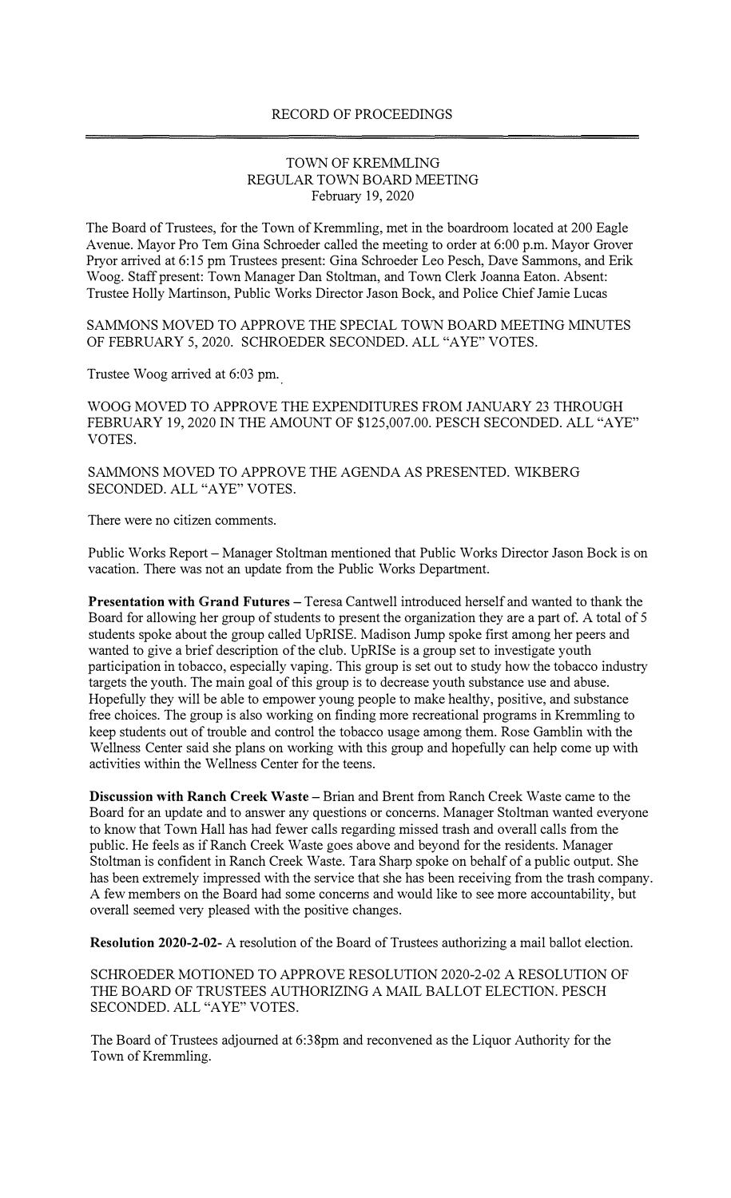## RECORD OF PROCEEDINGS

## TOWN OF KREMMLING REGULAR TOWN BOARD MEETING February 19, 2020

The Board of Trustees, for the Town of Kremmling, met in the boardroom located at 200 Eagle Avenue. Mayor Pro Tern Gina Schroeder called the meeting to order at 6:00 p.m. Mayor Grover Pryor arrived at 6:15 pm Trustees present: Gina Schroeder Leo Pesch, Dave Sammons, and Erik Woog. Staff present: Town Manager Dan Stoltman, and Town Clerk Joanna Eaton. Absent: Trustee Holly Martinson, Public Works Director Jason Bock, and Police Chief Jamie Lucas

SAMMONS MOVED TO APPROVE THE SPECIAL TOWN BOARD MEETING MINUTES OF FEBRUARY 5, 2020. SCHROEDER SECONDED. ALL "AYE" VOTES.

Trustee Woog arrived at 6:03 pm.

WOOG MOVED TO APPROVE THE EXPENDITURES FROM JANUARY 23 THROUGH FEBRUARY 19, 2020 IN THE AMOUNT OF \$125,007.00. PESCH SECONDED. ALL "AYE" VOTES.

SAMMONS MOVED TO APPROVE THE AGENDA AS PRESENTED. WIKBERG SECONDED. ALL "AYE" VOTES.

There were no citizen comments.

Public Works Report - Manager Stoltman mentioned that Public Works Director Jason Bock is on vacation. There was not an update from the Public Works Department.

**Presentation with Grand Futures - Teresa Cantwell introduced herself and wanted to thank the** Board for allowing her group of students to present the organization they are a part of. A total of 5 students spoke about the group called UpRISE. Madison Jump spoke first among her peers and wanted to give a brief description of the club. UpRISe is a group set to investigate youth participation in tobacco, especially vaping. This group is set out to study how the tobacco industry targets the youth. The main goal of this group is to decrease youth substance use and abuse. Hopefully they will be able to empower young people to make healthy, positive, and substance free choices. The group is also working on finding more recreational programs in Kremmling to keep students out of trouble and control the tobacco usage among them. Rose Gamblin with the Wellness Center said she plans on working with this group and hopefully can help come up with activities within the Wellness Center for the teens.

**Discussion with Ranch Creek Waste-Brian** and Brent from Ranch Creek Waste came to the Board for an update and to answer any questions or concerns. Manager Stoltman wanted everyone to know that Town Hall has had fewer calls regarding missed trash and overall calls from the public. He feels as if Ranch Creek Waste goes above and beyond for the residents. Manager Stoltman is confident in Ranch Creek Waste. Tara Sharp spoke on behalf of a public output. She has been extremely impressed with the service that she has been receiving from the trash company. A few members on the Board had some concerns and would like to see more accountability, but overall seemed very pleased with the positive changes.

**Resolution 2020-2-02-** A resolution of the Board of Trustees authorizing a mail ballot election.

SCHROEDER MOTIONED TO APPROVE RESOLUTION 2020-2-02 A RESOLUTION OF THE BOARD OF TRUSTEES AUTHORIZING A MAIL BALLOT ELECTION. PESCH SECONDED. ALL "AYE" VOTES.

The Board of Trustees adjourned at 6:38pm and reconvened as the Liquor Authority for the Town of Kremmling.